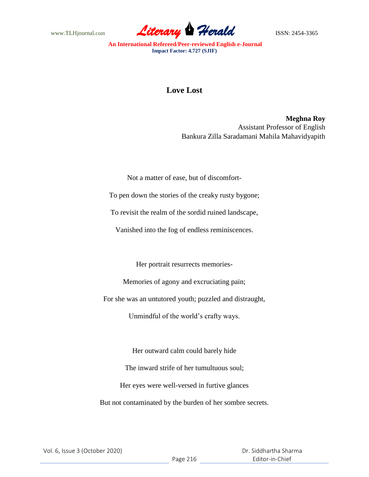www.TLHjournal.com **Literary Perald ISSN: 2454-3365** 

## **Love Lost**

**Meghna Roy** Assistant Professor of English Bankura Zilla Saradamani Mahila Mahavidyapith

Not a matter of ease, but of discomfort-

To pen down the stories of the creaky rusty bygone;

To revisit the realm of the sordid ruined landscape,

Vanished into the fog of endless reminiscences.

Her portrait resurrects memories-

Memories of agony and excruciating pain;

For she was an untutored youth; puzzled and distraught,

Unmindful of the world's crafty ways.

Her outward calm could barely hide The inward strife of her tumultuous soul; Her eyes were well-versed in furtive glances But not contaminated by the burden of her sombre secrets.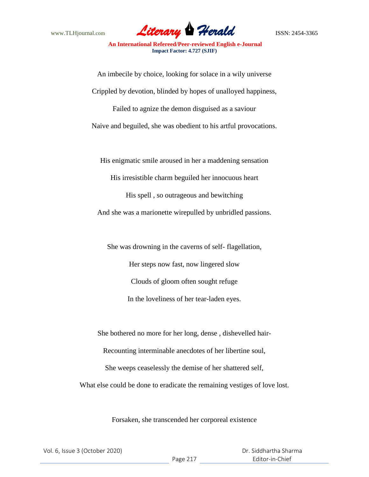

An imbecile by choice, looking for solace in a wily universe Crippled by devotion, blinded by hopes of unalloyed happiness, Failed to agnize the demon disguised as a saviour Naive and beguiled, she was obedient to his artful provocations.

His enigmatic smile aroused in her a maddening sensation

His irresistible charm beguiled her innocuous heart

His spell , so outrageous and bewitching

And she was a marionette wirepulled by unbridled passions.

She was drowning in the caverns of self- flagellation, Her steps now fast, now lingered slow Clouds of gloom often sought refuge In the loveliness of her tear-laden eyes.

She bothered no more for her long, dense , dishevelled hair-

Recounting interminable anecdotes of her libertine soul,

She weeps ceaselessly the demise of her shattered self,

What else could be done to eradicate the remaining vestiges of love lost.

Forsaken, she transcended her corporeal existence

|  | Vol. 6, Issue 3 (October 2020) |
|--|--------------------------------|
|--|--------------------------------|

 Dr. Siddhartha Sharma Editor-in-Chief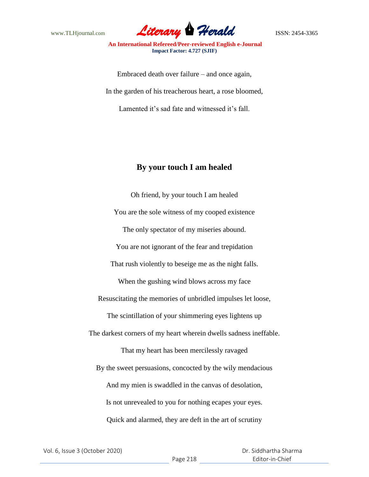

Embraced death over failure – and once again, In the garden of his treacherous heart, a rose bloomed, Lamented it's sad fate and witnessed it's fall.

## **By your touch I am healed**

Oh friend, by your touch I am healed You are the sole witness of my cooped existence The only spectator of my miseries abound. You are not ignorant of the fear and trepidation That rush violently to beseige me as the night falls. When the gushing wind blows across my face Resuscitating the memories of unbridled impulses let loose, The scintillation of your shimmering eyes lightens up The darkest corners of my heart wherein dwells sadness ineffable. That my heart has been mercilessly ravaged By the sweet persuasions, concocted by the wily mendacious And my mien is swaddled in the canvas of desolation, Is not unrevealed to you for nothing ecapes your eyes. Quick and alarmed, they are deft in the art of scrutiny